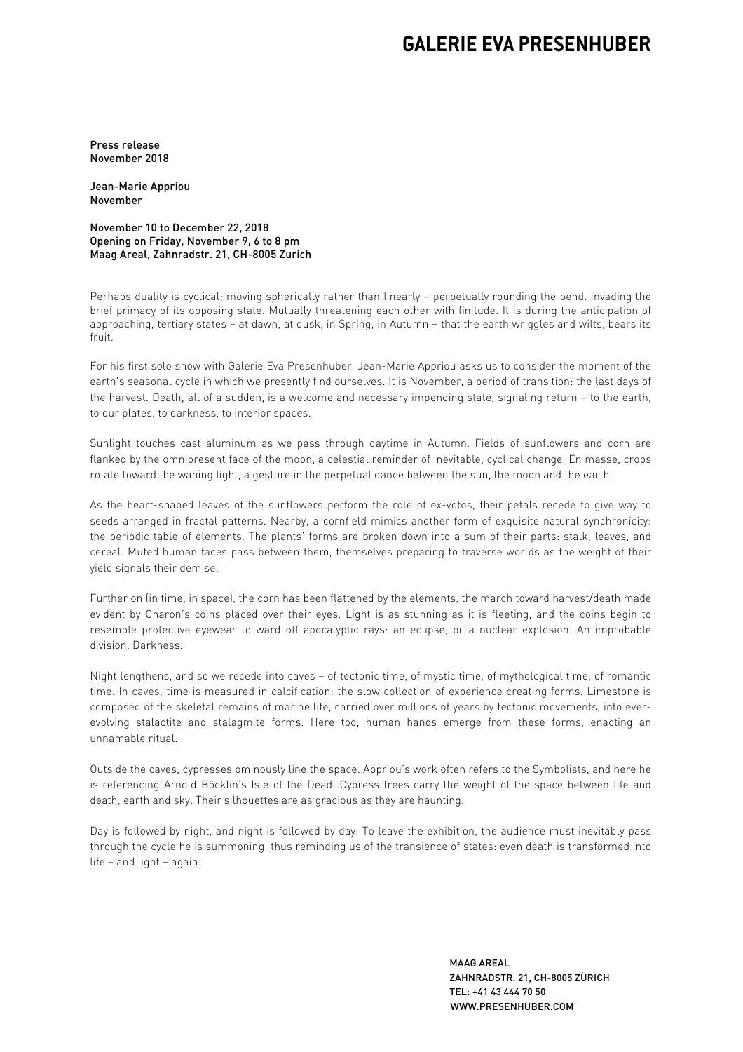## **GALERIE EVA PRESENHUBER**

Press release November 2018

Jean-Marie Appriou November

November 10 to December 22, 2018 Opening on Friday, November 9, 6 to 8 pm Maag Areal, Zahnradstr. 21, CH-8005 Zurich

Perhaps duality is cyclical; moving spherically rather than linearly – perpetually rounding the bend. Invading the brief primacy of its opposing state. Mutually threatening each other with finitude. It is during the anticipation of approaching, tertiary states – at dawn, at dusk, in Spring, in Autumn – that the earth wriggles and wilts, bears its fruit.

For his first solo show with Galerie Eva Presenhuber, Jean-Marie Appriou asks us to consider the moment of the earth's seasonal cycle in which we presently find ourselves. It is November, a period of transition: the last days of the harvest. Death, all of a sudden, is a welcome and necessary impending state, signaling return – to the earth, to our plates, to darkness, to interior spaces.

Sunlight touches cast aluminum as we pass through daytime in Autumn. Fields of sunflowers and corn are flanked by the omnipresent face of the moon, a celestial reminder of inevitable, cyclical change. En masse, crops rotate toward the waning light, a gesture in the perpetual dance between the sun, the moon and the earth.

As the heart-shaped leaves of the sunflowers perform the role of ex-votos, their petals recede to give way to seeds arranged in fractal patterns. Nearby, a cornfield mimics another form of exquisite natural synchronicity: the periodic table of elements. The plants' forms are broken down into a sum of their parts: stalk, leaves, and cereal. Muted human faces pass between them, themselves preparing to traverse worlds as the weight of their yield signals their demise.

Further on (in time, in space), the corn has been flattened by the elements, the march toward harvest/death made evident by Charon's coins placed over their eyes. Light is as stunning as it is fleeting, and the coins begin to resemble protective eyewear to ward off apocalyptic rays: an eclipse, or a nuclear explosion. An improbable division. Darkness.

Night lengthens, and so we recede into caves – of tectonic time, of mystic time, of mythological time, of romantic time. In caves, time is measured in calcification: the slow collection of experience creating forms. Limestone is composed of the skeletal remains of marine life, carried over millions of years by tectonic movements, into everevolving stalactite and stalagmite forms. Here too, human hands emerge from these forms, enacting an unnamable ritual.

Outside the caves, cypresses ominously line the space. Appriou's work often refers to the Symbolists, and here he is referencing Arnold Böcklin's Isle of the Dead. Cypress trees carry the weight of the space between life and death, earth and sky. Their silhouettes are as gracious as they are haunting.

Day is followed by night, and night is followed by day. To leave the exhibition, the audience must inevitably pass through the cycle he is summoning, thus reminding us of the transience of states: even death is transformed into life – and light – again.

> MAAG AREAL ZAHNRADSTR. 21, CH-8005 ZÜRICH TEL: +41 43 444 70 50 WWW.PRESENHUBER.COM